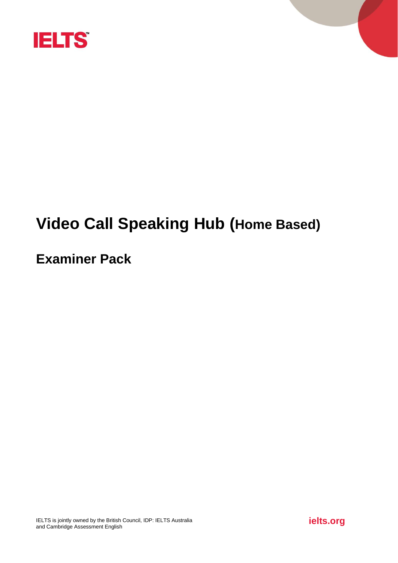

# **Video Call Speaking Hub (Home Based)**

# **Examiner Pack**

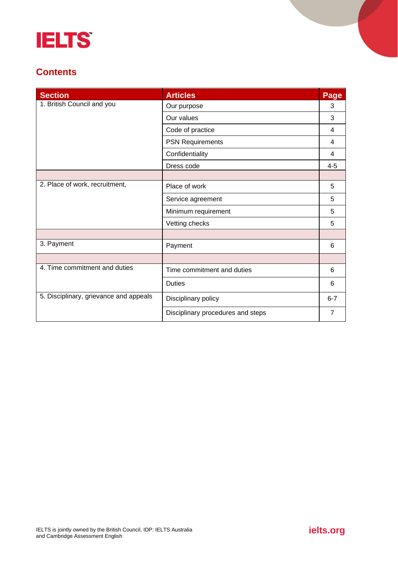

# **Contents**

| <b>Section</b>                         | <b>Articles</b>                   | Page           |
|----------------------------------------|-----------------------------------|----------------|
| 1. British Council and you             | Our purpose                       | 3              |
|                                        | Our values                        | 3              |
|                                        | Code of practice                  | 4              |
|                                        | <b>PSN Requirements</b>           | 4              |
|                                        | Confidentiality                   | 4              |
|                                        | Dress code                        | $4 - 5$        |
|                                        |                                   |                |
| 2. Place of work, recruitment,         | Place of work                     | 5              |
|                                        | Service agreement                 | 5              |
|                                        | Minimum requirement               | 5              |
|                                        | Vetting checks                    | 5              |
|                                        |                                   |                |
| 3. Payment                             | Payment                           | 6              |
|                                        |                                   |                |
| 4. Time commitment and duties          | Time commitment and duties        | 6              |
|                                        | <b>Duties</b>                     | 6              |
| 5. Disciplinary, grievance and appeals | Disciplinary policy               | $6 - 7$        |
|                                        | Disciplinary procedures and steps | $\overline{7}$ |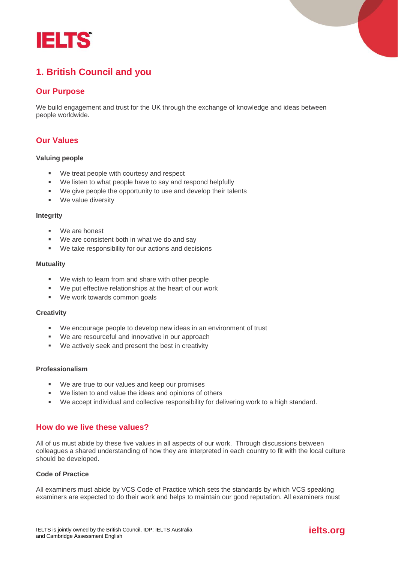



# **1. British Council and you**

# **Our Purpose**

We build engagement and trust for the UK through the exchange of knowledge and ideas between people worldwide.

# **Our Values**

#### **Valuing people**

- We treat people with courtesy and respect
- We listen to what people have to say and respond helpfully
- We give people the opportunity to use and develop their talents
- We value diversity

#### **Integrity**

- We are honest
- We are consistent both in what we do and say
- We take responsibility for our actions and decisions

#### **Mutuality**

- We wish to learn from and share with other people
- We put effective relationships at the heart of our work
- We work towards common goals

#### **Creativity**

- We encourage people to develop new ideas in an environment of trust
- We are resourceful and innovative in our approach
- We actively seek and present the best in creativity

#### **Professionalism**

- We are true to our values and keep our promises
- We listen to and value the ideas and opinions of others
- We accept individual and collective responsibility for delivering work to a high standard.

## **How do we live these values?**

All of us must abide by these five values in all aspects of our work. Through discussions between colleagues a shared understanding of how they are interpreted in each country to fit with the local culture should be developed.

#### **Code of Practice**

All examiners must abide by VCS Code of Practice which sets the standards by which VCS speaking examiners are expected to do their work and helps to maintain our good reputation. All examiners must

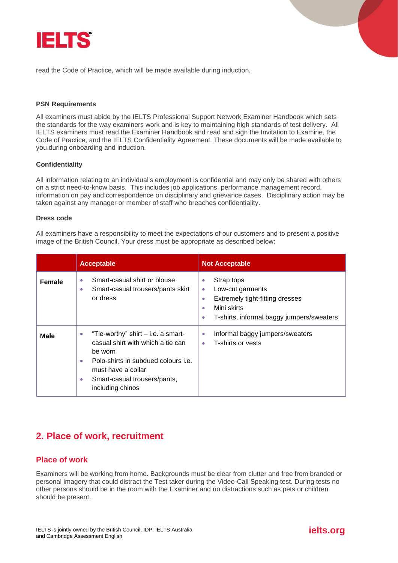

read the Code of Practice, which will be made available during induction.

#### **PSN Requirements**

All examiners must abide by the IELTS Professional Support Network Examiner Handbook which sets the standards for the way examiners work and is key to maintaining high standards of test delivery. All IELTS examiners must read the Examiner Handbook and read and sign the Invitation to Examine, the Code of Practice, and the IELTS Confidentiality Agreement. These documents will be made available to you during onboarding and induction.

#### **Confidentiality**

All information relating to an individual's employment is confidential and may only be shared with others on a strict need-to-know basis. This includes job applications, performance management record, information on pay and correspondence on disciplinary and grievance cases. Disciplinary action may be taken against any manager or member of staff who breaches confidentiality.

#### **Dress code**

All examiners have a responsibility to meet the expectations of our customers and to present a positive image of the British Council. Your dress must be appropriate as described below:

|               | <b>Acceptable</b>                                                                                                                                                                                                                            | <b>Not Acceptable</b>                                                                                                                                                  |
|---------------|----------------------------------------------------------------------------------------------------------------------------------------------------------------------------------------------------------------------------------------------|------------------------------------------------------------------------------------------------------------------------------------------------------------------------|
| <b>Female</b> | Smart-casual shirt or blouse<br>$\bullet$<br>Smart-casual trousers/pants skirt<br>$\bullet$<br>or dress                                                                                                                                      | Strap tops<br>$\bullet$<br>Low-cut garments<br>۰<br>Extremely tight-fitting dresses<br>۰<br>Mini skirts<br>$\bullet$<br>T-shirts, informal baggy jumpers/sweaters<br>۰ |
| <b>Male</b>   | "Tie-worthy" shirt $-$ i.e. a smart-<br>$\bullet$<br>casual shirt with which a tie can<br>be worn<br>Polo-shirts in subdued colours i.e.<br>$\bullet$<br>must have a collar<br>Smart-casual trousers/pants,<br>$\bullet$<br>including chinos | Informal baggy jumpers/sweaters<br>$\bullet$<br>T-shirts or vests<br>۰                                                                                                 |

# **2. Place of work, recruitment**

## **Place of work**

Examiners will be working from home. Backgrounds must be clear from clutter and free from branded or personal imagery that could distract the Test taker during the Video-Call Speaking test. During tests no other persons should be in the room with the Examiner and no distractions such as pets or children should be present.

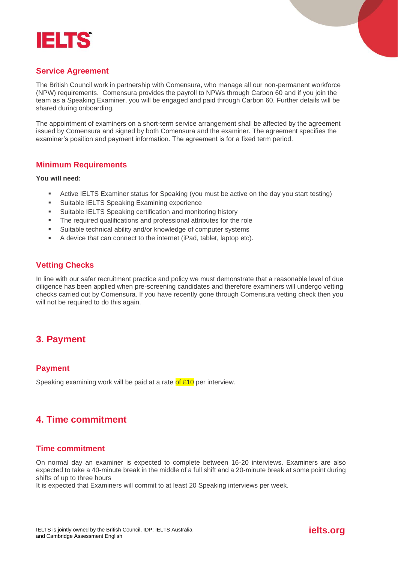



# **Service Agreement**

The British Council work in partnership with Comensura, who manage all our non-permanent workforce (NPW) requirements. Comensura provides the payroll to NPWs through Carbon 60 and if you join the team as a Speaking Examiner, you will be engaged and paid through Carbon 60. Further details will be shared during onboarding.

The appointment of examiners on a short-term service arrangement shall be affected by the agreement issued by Comensura and signed by both Comensura and the examiner. The agreement specifies the examiner's position and payment information. The agreement is for a fixed term period.

#### **Minimum Requirements**

**You will need:**

- Active IELTS Examiner status for Speaking (you must be active on the day you start testing)
- Suitable IELTS Speaking Examining experience
- Suitable IELTS Speaking certification and monitoring history
- The required qualifications and professional attributes for the role
- Suitable technical ability and/or knowledge of computer systems
- A device that can connect to the internet (iPad, tablet, laptop etc).

## **Vetting Checks**

In line with our safer recruitment practice and policy we must demonstrate that a reasonable level of due diligence has been applied when pre-screening candidates and therefore examiners will undergo vetting checks carried out by Comensura. If you have recently gone through Comensura vetting check then you will not be required to do this again.

# **3. Payment**

## **Payment**

Speaking examining work will be paid at a rate of  $£10$  per interview.

# **4. Time commitment**

## **Time commitment**

On normal day an examiner is expected to complete between 16-20 interviews. Examiners are also expected to take a 40-minute break in the middle of a full shift and a 20-minute break at some point during shifts of up to three hours

It is expected that Examiners will commit to at least 20 Speaking interviews per week.